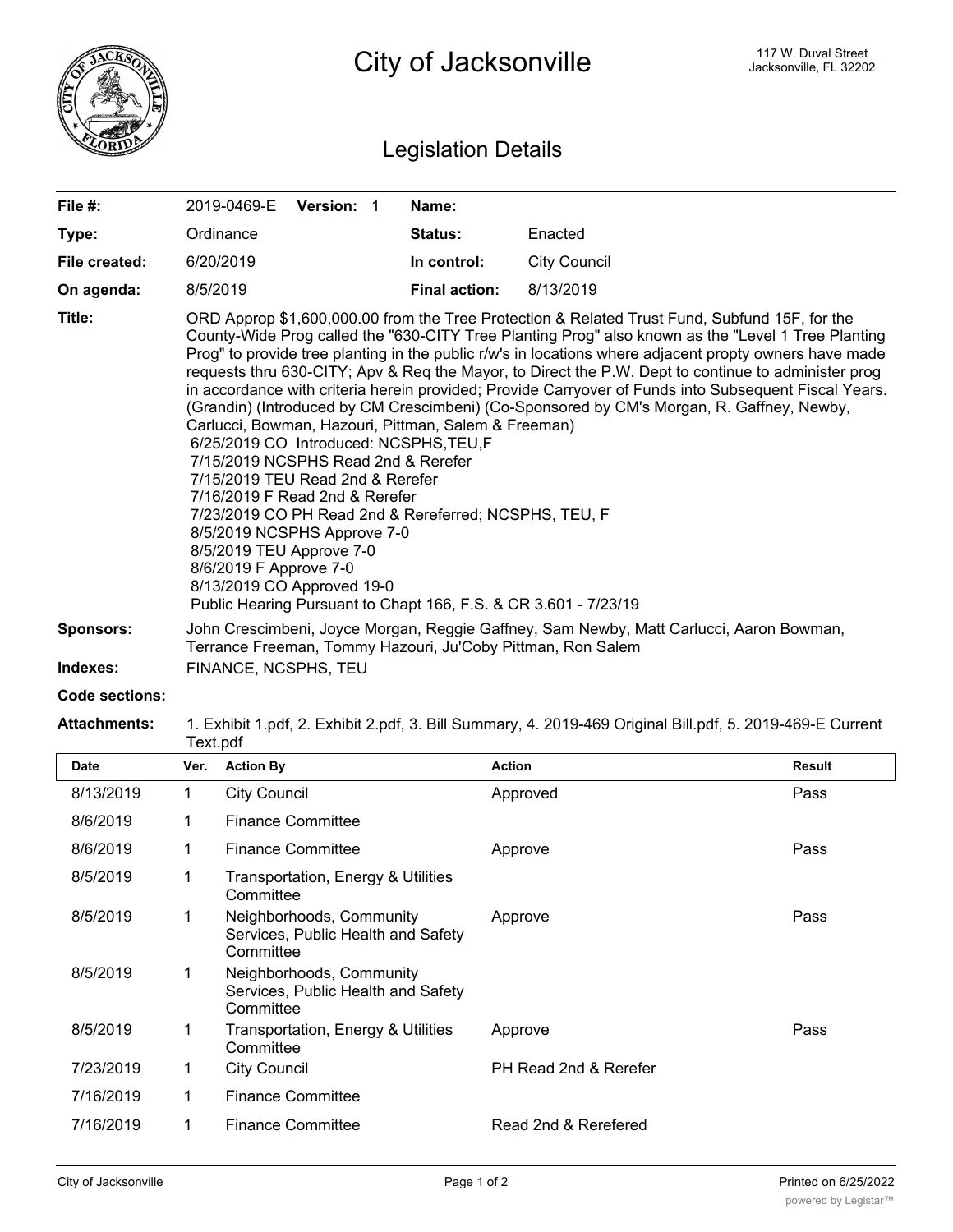

## Legislation Details

| File $#$ :                   | Version: 1<br>2019-0469-E                                                                                                                                                                                                                                                                                                                                                                                                                                                                                                                                                                                                                                                                                                                                                                                                                                                                                                                                                                                              | Name:                                                                                                                                                  |                     |  |  |
|------------------------------|------------------------------------------------------------------------------------------------------------------------------------------------------------------------------------------------------------------------------------------------------------------------------------------------------------------------------------------------------------------------------------------------------------------------------------------------------------------------------------------------------------------------------------------------------------------------------------------------------------------------------------------------------------------------------------------------------------------------------------------------------------------------------------------------------------------------------------------------------------------------------------------------------------------------------------------------------------------------------------------------------------------------|--------------------------------------------------------------------------------------------------------------------------------------------------------|---------------------|--|--|
| Type:                        | Ordinance                                                                                                                                                                                                                                                                                                                                                                                                                                                                                                                                                                                                                                                                                                                                                                                                                                                                                                                                                                                                              | Status:                                                                                                                                                | Enacted             |  |  |
| File created:                | 6/20/2019                                                                                                                                                                                                                                                                                                                                                                                                                                                                                                                                                                                                                                                                                                                                                                                                                                                                                                                                                                                                              | In control:                                                                                                                                            | <b>City Council</b> |  |  |
| On agenda:                   | 8/5/2019                                                                                                                                                                                                                                                                                                                                                                                                                                                                                                                                                                                                                                                                                                                                                                                                                                                                                                                                                                                                               | <b>Final action:</b>                                                                                                                                   | 8/13/2019           |  |  |
| Title:                       | ORD Approp \$1,600,000.00 from the Tree Protection & Related Trust Fund, Subfund 15F, for the<br>County-Wide Prog called the "630-CITY Tree Planting Prog" also known as the "Level 1 Tree Planting<br>Prog" to provide tree planting in the public r/w's in locations where adjacent propty owners have made<br>requests thru 630-CITY; Apv & Req the Mayor, to Direct the P.W. Dept to continue to administer prog<br>in accordance with criteria herein provided; Provide Carryover of Funds into Subsequent Fiscal Years.<br>(Grandin) (Introduced by CM Crescimbeni) (Co-Sponsored by CM's Morgan, R. Gaffney, Newby,<br>Carlucci, Bowman, Hazouri, Pittman, Salem & Freeman)<br>6/25/2019 CO Introduced: NCSPHS, TEU, F<br>7/15/2019 NCSPHS Read 2nd & Rerefer<br>7/15/2019 TEU Read 2nd & Rerefer<br>7/16/2019 F Read 2nd & Rerefer<br>7/23/2019 CO PH Read 2nd & Rereferred; NCSPHS, TEU, F<br>8/5/2019 NCSPHS Approve 7-0<br>8/5/2019 TEU Approve 7-0<br>8/6/2019 F Approve 7-0<br>8/13/2019 CO Approved 19-0 |                                                                                                                                                        |                     |  |  |
| <b>Sponsors:</b><br>Indexes: | FINANCE, NCSPHS, TEU                                                                                                                                                                                                                                                                                                                                                                                                                                                                                                                                                                                                                                                                                                                                                                                                                                                                                                                                                                                                   | John Crescimbeni, Joyce Morgan, Reggie Gaffney, Sam Newby, Matt Carlucci, Aaron Bowman,<br>Terrance Freeman, Tommy Hazouri, Ju'Coby Pittman, Ron Salem |                     |  |  |

## **Code sections:**

**Attachments:** 1. Exhibit 1.pdf, 2. Exhibit 2.pdf, 3. Bill Summary, 4. 2019-469 Original Bill.pdf, 5. 2019-469-E Current Text.pdf

| <b>Date</b> | Ver. | <b>Action By</b>                                                            | <b>Action</b>         | <b>Result</b> |
|-------------|------|-----------------------------------------------------------------------------|-----------------------|---------------|
| 8/13/2019   | 1    | <b>City Council</b>                                                         | Approved              | Pass          |
| 8/6/2019    | 1    | <b>Finance Committee</b>                                                    |                       |               |
| 8/6/2019    | 1    | <b>Finance Committee</b>                                                    | Approve               | Pass          |
| 8/5/2019    | 1    | Transportation, Energy & Utilities<br>Committee                             |                       |               |
| 8/5/2019    |      | Neighborhoods, Community<br>Services, Public Health and Safety<br>Committee | Approve               | Pass          |
| 8/5/2019    | 1    | Neighborhoods, Community<br>Services, Public Health and Safety<br>Committee |                       |               |
| 8/5/2019    | 1    | Transportation, Energy & Utilities<br>Committee                             | Approve               | Pass          |
| 7/23/2019   | 1    | <b>City Council</b>                                                         | PH Read 2nd & Rerefer |               |
| 7/16/2019   | 1    | <b>Finance Committee</b>                                                    |                       |               |
| 7/16/2019   | 1    | <b>Finance Committee</b>                                                    | Read 2nd & Rerefered  |               |